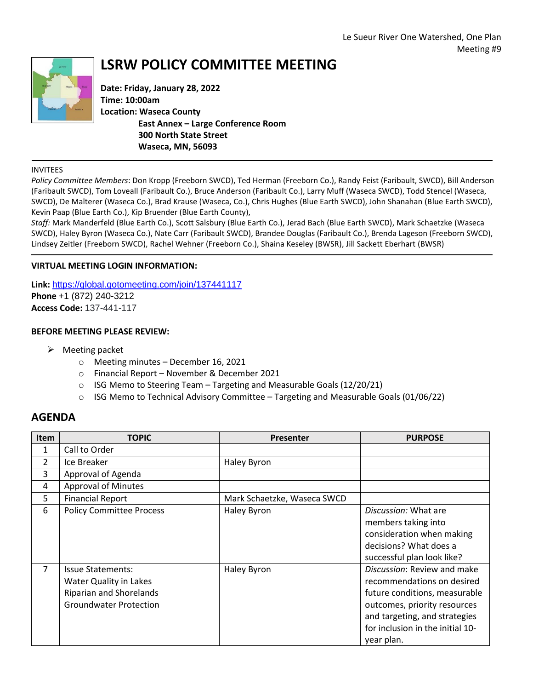

# **LSRW POLICY COMMITTEE MEETING**

**Date: Friday, January 28, 2022 Time: 10:00am Location: Waseca County East Annex – Large Conference Room 300 North State Street Waseca, MN, 56093**

#### INVITEES

*Policy Committee Members*: Don Kropp (Freeborn SWCD), Ted Herman (Freeborn Co.), Randy Feist (Faribault, SWCD), Bill Anderson (Faribault SWCD), Tom Loveall (Faribault Co.), Bruce Anderson (Faribault Co.), Larry Muff (Waseca SWCD), Todd Stencel (Waseca, SWCD), De Malterer (Waseca Co.), Brad Krause (Waseca, Co.), Chris Hughes (Blue Earth SWCD), John Shanahan (Blue Earth SWCD), Kevin Paap (Blue Earth Co.), Kip Bruender (Blue Earth County),

*Staff:* Mark Manderfeld (Blue Earth Co.), Scott Salsbury (Blue Earth Co.), Jerad Bach (Blue Earth SWCD), Mark Schaetzke (Waseca SWCD), Haley Byron (Waseca Co.), Nate Carr (Faribault SWCD), Brandee Douglas (Faribault Co.), Brenda Lageson (Freeborn SWCD), Lindsey Zeitler (Freeborn SWCD), Rachel Wehner (Freeborn Co.), Shaina Keseley (BWSR), Jill Sackett Eberhart (BWSR)

### **VIRTUAL MEETING LOGIN INFORMATION:**

**Link:** <https://global.gotomeeting.com/join/137441117> **Phone** +1 (872) 240-3212 **Access Code:** 137-441-117

### **BEFORE MEETING PLEASE REVIEW:**

- $\triangleright$  Meeting packet
	- o Meeting minutes December 16, 2021
	- o Financial Report November & December 2021
	- $\circ$  ISG Memo to Steering Team Targeting and Measurable Goals (12/20/21)
	- $\circ$  ISG Memo to Technical Advisory Committee Targeting and Measurable Goals (01/06/22)

## **AGENDA**

| Item          | <b>TOPIC</b>                                                                                                          | <b>Presenter</b>            | <b>PURPOSE</b>                                                                                                                                                                                                |
|---------------|-----------------------------------------------------------------------------------------------------------------------|-----------------------------|---------------------------------------------------------------------------------------------------------------------------------------------------------------------------------------------------------------|
| 1             | Call to Order                                                                                                         |                             |                                                                                                                                                                                                               |
| $\mathcal{P}$ | Ice Breaker                                                                                                           | Haley Byron                 |                                                                                                                                                                                                               |
| 3             | Approval of Agenda                                                                                                    |                             |                                                                                                                                                                                                               |
| 4             | <b>Approval of Minutes</b>                                                                                            |                             |                                                                                                                                                                                                               |
| 5             | <b>Financial Report</b>                                                                                               | Mark Schaetzke, Waseca SWCD |                                                                                                                                                                                                               |
| 6             | <b>Policy Committee Process</b>                                                                                       | Haley Byron                 | Discussion: What are<br>members taking into<br>consideration when making<br>decisions? What does a<br>successful plan look like?                                                                              |
| 7             | <b>Issue Statements:</b><br>Water Quality in Lakes<br><b>Riparian and Shorelands</b><br><b>Groundwater Protection</b> | Haley Byron                 | Discussion: Review and make<br>recommendations on desired<br>future conditions, measurable<br>outcomes, priority resources<br>and targeting, and strategies<br>for inclusion in the initial 10-<br>year plan. |